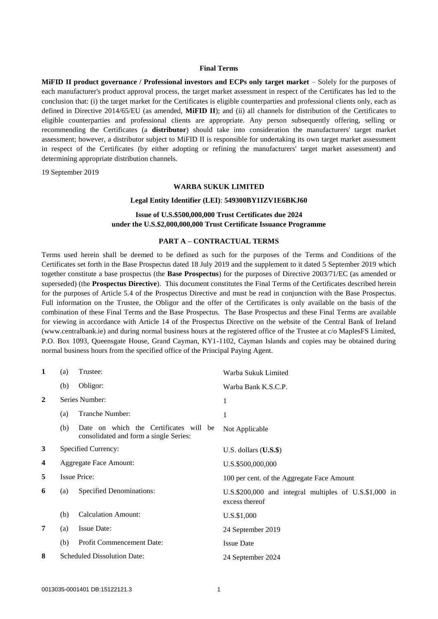## **Final Terms**

**MiFID II product governance / Professional investors and ECPs only target market** – Solely for the purposes of each manufacturer's product approval process, the target market assessment in respect of the Certificates has led to the conclusion that: (i) the target market for the Certificates is eligible counterparties and professional clients only, each as defined in Directive 2014/65/EU (as amended, **MiFID II**); and (ii) all channels for distribution of the Certificates to eligible counterparties and professional clients are appropriate. Any person subsequently offering, selling or recommending the Certificates (a **distributor**) should take into consideration the manufacturers' target market assessment; however, a distributor subject to MiFID II is responsible for undertaking its own target market assessment in respect of the Certificates (by either adopting or refining the manufacturers' target market assessment) and determining appropriate distribution channels.

19 September 2019

#### **WARBA SUKUK LIMITED**

#### **Legal Entity Identifier (LEI)**: **549300BY1IZV1E6BKJ60**

## **Issue of U.S.\$500,000,000 Trust Certificates due 2024 under the U.S.\$2,000,000,000 Trust Certificate Issuance Programme**

#### **PART A – CONTRACTUAL TERMS**

Terms used herein shall be deemed to be defined as such for the purposes of the Terms and Conditions of the Certificates set forth in the Base Prospectus dated 18 July 2019 and the supplement to it dated 5 September 2019 which together constitute a base prospectus (the **Base Prospectus**) for the purposes of Directive 2003/71/EC (as amended or superseded) (the **Prospectus Directive**). This document constitutes the Final Terms of the Certificates described herein for the purposes of Article 5.4 of the Prospectus Directive and must be read in conjunction with the Base Prospectus. Full information on the Trustee, the Obligor and the offer of the Certificates is only available on the basis of the combination of these Final Terms and the Base Prospectus. The Base Prospectus and these Final Terms are available for viewing in accordance with Article 14 of the Prospectus Directive on the website of the Central Bank of Ireland (www.centralbank.ie) and during normal business hours at the registered office of the Trustee at c/o MaplesFS Limited, P.O. Box 1093, Queensgate House, Grand Cayman, KY1-1102, Cayman Islands and copies may be obtained during normal business hours from the specified office of the Principal Paying Agent.

| $\mathbf{1}$   | (a) | Trustee:                                                                         | Warba Sukuk Limited                                                      |
|----------------|-----|----------------------------------------------------------------------------------|--------------------------------------------------------------------------|
|                | (b) | Obligor:                                                                         | Warba Bank K.S.C.P.                                                      |
| $\overline{2}$ |     | Series Number:                                                                   | 1                                                                        |
|                | (a) | <b>Tranche Number:</b>                                                           | 1                                                                        |
|                | (b) | Date on which the Certificates will be<br>consolidated and form a single Series: | Not Applicable                                                           |
| 3              |     | Specified Currency:                                                              | U.S. dollars $(U.S.\$ \$)                                                |
| 4              |     | <b>Aggregate Face Amount:</b>                                                    | U.S.\$500,000,000                                                        |
| 5              |     | <b>Issue Price:</b>                                                              | 100 per cent. of the Aggregate Face Amount                               |
| 6              | (a) | Specified Denominations:                                                         | U.S.\$200,000 and integral multiples of U.S.\$1,000 in<br>excess thereof |
|                | (b) | <b>Calculation Amount:</b>                                                       | U.S.\$1,000                                                              |
| 7              | (a) | <b>Issue Date:</b>                                                               | 24 September 2019                                                        |
|                | (b) | <b>Profit Commencement Date:</b>                                                 | <b>Issue Date</b>                                                        |
| 8              |     | <b>Scheduled Dissolution Date:</b>                                               | 24 September 2024                                                        |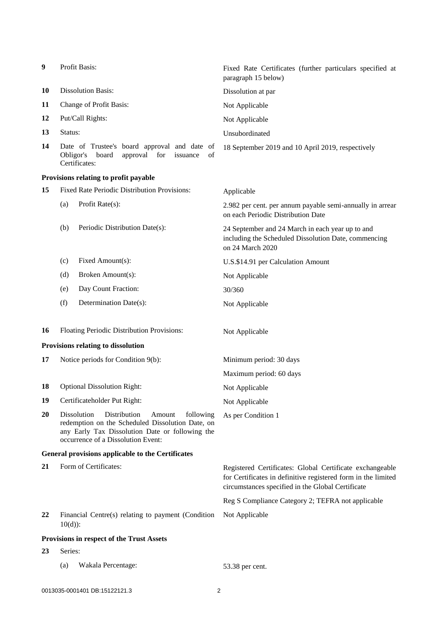| 9  | Profit Basis:                                                                                                                                                                                   | Fixed Rate Certificates (further particulars specified at<br>paragraph 15 below)                                                                                               |
|----|-------------------------------------------------------------------------------------------------------------------------------------------------------------------------------------------------|--------------------------------------------------------------------------------------------------------------------------------------------------------------------------------|
| 10 | <b>Dissolution Basis:</b>                                                                                                                                                                       | Dissolution at par                                                                                                                                                             |
| 11 | Change of Profit Basis:                                                                                                                                                                         | Not Applicable                                                                                                                                                                 |
| 12 | Put/Call Rights:                                                                                                                                                                                | Not Applicable                                                                                                                                                                 |
| 13 | Status:                                                                                                                                                                                         | Unsubordinated                                                                                                                                                                 |
| 14 | Date of Trustee's board approval and date of<br>approval<br>Obligor's<br>board<br>for<br>of<br>issuance<br>Certificates:                                                                        | 18 September 2019 and 10 April 2019, respectively                                                                                                                              |
|    | Provisions relating to profit payable                                                                                                                                                           |                                                                                                                                                                                |
| 15 | Fixed Rate Periodic Distribution Provisions:                                                                                                                                                    | Applicable                                                                                                                                                                     |
|    | Profit Rate(s):<br>(a)                                                                                                                                                                          | 2.982 per cent. per annum payable semi-annually in arrear<br>on each Periodic Distribution Date                                                                                |
|    | (b)<br>Periodic Distribution Date(s):                                                                                                                                                           | 24 September and 24 March in each year up to and<br>including the Scheduled Dissolution Date, commencing<br>on 24 March 2020                                                   |
|    | Fixed Amount(s):<br>(c)                                                                                                                                                                         | U.S.\$14.91 per Calculation Amount                                                                                                                                             |
|    | Broken Amount(s):<br>(d)                                                                                                                                                                        | Not Applicable                                                                                                                                                                 |
|    | Day Count Fraction:<br>(e)                                                                                                                                                                      | 30/360                                                                                                                                                                         |
|    | (f)<br>Determination Date(s):                                                                                                                                                                   | Not Applicable                                                                                                                                                                 |
| 16 | Floating Periodic Distribution Provisions:                                                                                                                                                      | Not Applicable                                                                                                                                                                 |
|    | Provisions relating to dissolution                                                                                                                                                              |                                                                                                                                                                                |
| 17 | Notice periods for Condition 9(b):                                                                                                                                                              | Minimum period: 30 days                                                                                                                                                        |
|    |                                                                                                                                                                                                 | Maximum period: 60 days                                                                                                                                                        |
| 18 | <b>Optional Dissolution Right:</b>                                                                                                                                                              | Not Applicable                                                                                                                                                                 |
| 19 | Certificateholder Put Right:                                                                                                                                                                    | Not Applicable                                                                                                                                                                 |
| 20 | Dissolution<br>Distribution<br>following<br>Amount<br>redemption on the Scheduled Dissolution Date, on<br>any Early Tax Dissolution Date or following the<br>occurrence of a Dissolution Event: | As per Condition 1                                                                                                                                                             |
|    | General provisions applicable to the Certificates                                                                                                                                               |                                                                                                                                                                                |
| 21 | Form of Certificates:                                                                                                                                                                           | Registered Certificates: Global Certificate exchangeable<br>for Certificates in definitive registered form in the limited<br>circumstances specified in the Global Certificate |
|    |                                                                                                                                                                                                 | Reg S Compliance Category 2; TEFRA not applicable                                                                                                                              |
| 22 | Financial Centre(s) relating to payment (Condition<br>$10(d)$ :                                                                                                                                 | Not Applicable                                                                                                                                                                 |
|    | Provisions in respect of the Trust Assets                                                                                                                                                       |                                                                                                                                                                                |
| 23 | Series:                                                                                                                                                                                         |                                                                                                                                                                                |
|    | Wakala Percentage:<br>(a)                                                                                                                                                                       | 53.38 per cent.                                                                                                                                                                |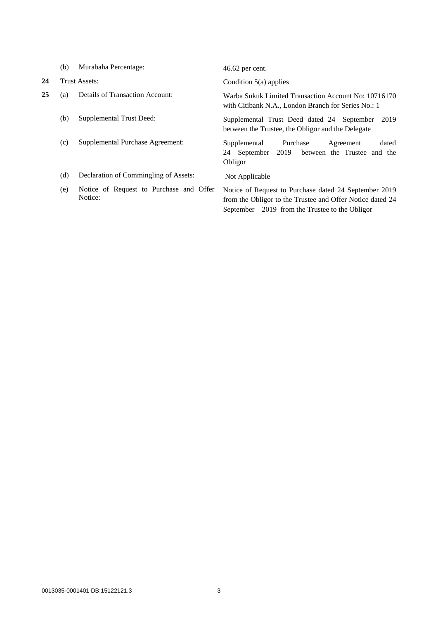|    | (b) | Murabaha Percentage:                               | $46.62$ per cent.                                                                                                                                                    |
|----|-----|----------------------------------------------------|----------------------------------------------------------------------------------------------------------------------------------------------------------------------|
| 24 |     | Trust Assets:                                      | Condition $5(a)$ applies                                                                                                                                             |
| 25 | (a) | Details of Transaction Account:                    | Warba Sukuk Limited Transaction Account No: 10716170<br>with Citibank N.A., London Branch for Series No.: 1                                                          |
|    | (b) | Supplemental Trust Deed:                           | Supplemental Trust Deed dated 24 September<br>2019<br>between the Trustee, the Obligor and the Delegate                                                              |
|    | (c) | Supplemental Purchase Agreement:                   | Purchase<br>Supplemental<br>dated<br>Agreement<br>2019<br>24 September<br>between the Trustee and the<br>Obligor                                                     |
|    | (d) | Declaration of Commingling of Assets:              | Not Applicable                                                                                                                                                       |
|    | (e) | Notice of Request to Purchase and Offer<br>Notice: | Notice of Request to Purchase dated 24 September 2019<br>from the Obligor to the Trustee and Offer Notice dated 24<br>September 2019 from the Trustee to the Obligor |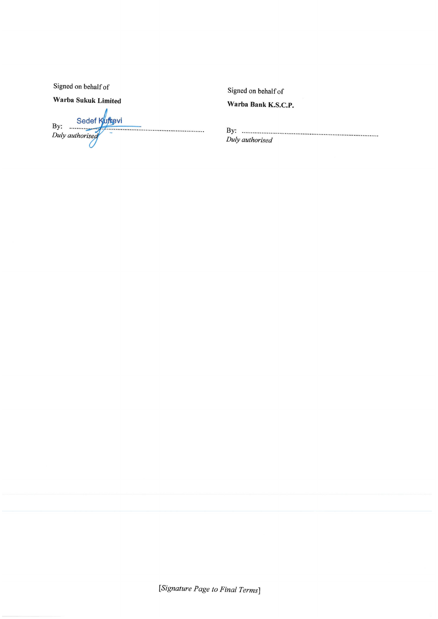Signed on behalf of

Warba Sukuk Limited

By: Sedef Kuffgvi<br>Duly authorised  Signed on behalf of

Warba Bank K.S.C.P.

Duly authorised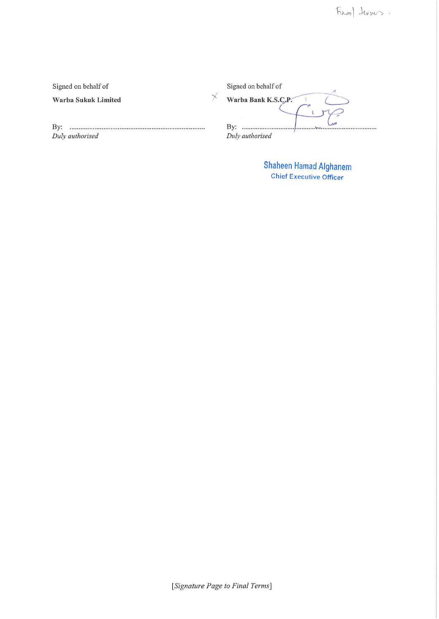Signed on behalf of

Warba Sukuk Limited

Duly authorised

| Signed on behalf of |  |
|---------------------|--|
| Warba Bank K.S.C.P. |  |
|                     |  |
| By:                 |  |
| Duly authorised     |  |

Shaheen Hamad Alghanem<br>Chief Executive Officer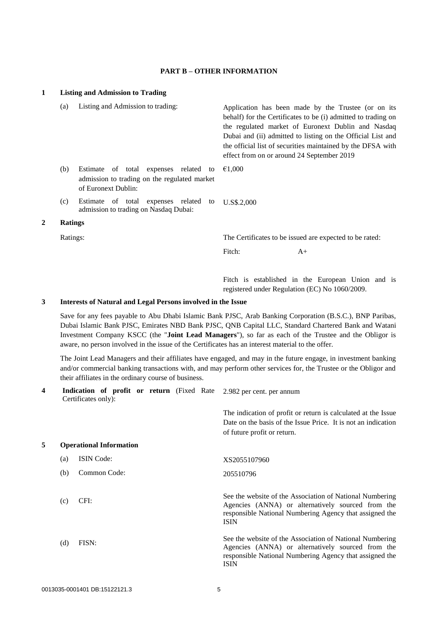## **PART B – OTHER INFORMATION**

# **1 Listing and Admission to Trading** (a) Listing and Admission to trading: Application has been made by the Trustee (or on its behalf) for the Certificates to be (i) admitted to trading on the regulated market of Euronext Dublin and Nasdaq Dubai and (ii) admitted to listing on the Official List and the official list of securities maintained by the DFSA with effect from on or around 24 September 2019 (b) Estimate of total expenses related to admission to trading on the regulated market of Euronext Dublin: €1,000 (c) Estimate of total expenses related to admission to trading on Nasdaq Dubai: U.S\$.2,000 **2 Ratings** Ratings: The Certificates to be issued are expected to be rated: Fitch:  $A+$

Fitch is established in the European Union and is registered under Regulation (EC) No 1060/2009.

## **3 Interests of Natural and Legal Persons involved in the Issue**

Save for any fees payable to Abu Dhabi Islamic Bank PJSC, Arab Banking Corporation (B.S.C.), BNP Paribas, Dubai Islamic Bank PJSC, Emirates NBD Bank PJSC, QNB Capital LLC, Standard Chartered Bank and Watani Investment Company KSCC (the "**Joint Lead Managers**"), so far as each of the Trustee and the Obligor is aware, no person involved in the issue of the Certificates has an interest material to the offer.

The Joint Lead Managers and their affiliates have engaged, and may in the future engage, in investment banking and/or commercial banking transactions with, and may perform other services for, the Trustee or the Obligor and their affiliates in the ordinary course of business.

| 4 |     | Indication of profit or return (Fixed Rate<br>Certificates only): |  |  | 2.982 per cent. per annum                                                                                                                                                               |
|---|-----|-------------------------------------------------------------------|--|--|-----------------------------------------------------------------------------------------------------------------------------------------------------------------------------------------|
|   |     |                                                                   |  |  | The indication of profit or return is calculated at the Issue<br>Date on the basis of the Issue Price. It is not an indication<br>of future profit or return.                           |
| 5 |     | <b>Operational Information</b>                                    |  |  |                                                                                                                                                                                         |
|   | (a) | <b>ISIN</b> Code:                                                 |  |  | XS2055107960                                                                                                                                                                            |
|   | (b) | Common Code:                                                      |  |  | 205510796                                                                                                                                                                               |
|   | (c) | CFI:                                                              |  |  | See the website of the Association of National Numbering<br>Agencies (ANNA) or alternatively sourced from the<br>responsible National Numbering Agency that assigned the<br><b>ISIN</b> |
|   | (d) | FISN:                                                             |  |  | See the website of the Association of National Numbering<br>Agencies (ANNA) or alternatively sourced from the<br>responsible National Numbering Agency that assigned the<br><b>ISIN</b> |